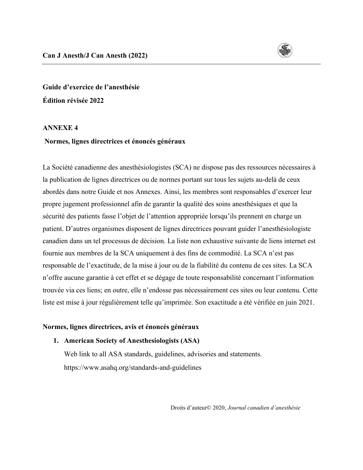

**Guide d'exercice de l'anesthésie Édition révisée 2022**

#### **ANNEXE 4**

#### **Normes, lignes directrices et énoncés généraux**

La Société canadienne des anesthésiologistes (SCA) ne dispose pas des ressources nécessaires à la publication de lignes directrices ou de normes portant sur tous les sujets au-delà de ceux abordés dans notre Guide et nos Annexes. Ainsi, les membres sont responsables d'exercer leur propre jugement professionnel afin de garantir la qualité des soins anesthésiques et que la sécurité des patients fasse l'objet de l'attention appropriée lorsqu'ils prennent en charge un patient. D'autres organismes disposent de lignes directrices pouvant guider l'anesthésiologiste canadien dans un tel processus de décision. La liste non exhaustive suivante de liens internet est fournie aux membres de la SCA uniquement à des fins de commodité. La SCA n'est pas responsable de l'exactitude, de la mise à jour ou de la fiabilité du contenu de ces sites. La SCA n'offre aucune garantie à cet effet et se dégage de toute responsabilité concernant l'information trouvée via ces liens; en outre, elle n'endosse pas nécessairement ces sites ou leur contenu. Cette liste est mise à jour régulièrement telle qu'imprimée. Son exactitude a été vérifiée en juin 2021.

#### **Normes, lignes directrices, avis et énoncés généraux**

#### **1. American Society of Anesthesiologists (ASA)**

Web link to all ASA standards, guidelines, advisories and statements. <https://www.asahq.org/standards-and-guidelines>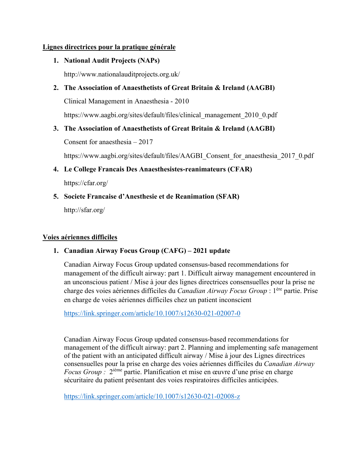#### **Lignes directrices pour la pratique générale**

**1. National Audit Projects (NAPs)**

<http://www.nationalauditprojects.org.uk/>

**2. The Association of Anaesthetists of Great Britain & Ireland (AAGBI)**

Clinical Management in Anaesthesia - 2010

[https://www.aagbi.org/sites/default/files/clinical\\_management\\_2010\\_0.pdf](https://www.aagbi.org/sites/default/files/clinical_management_2010_0.pdf)

**3. The Association of Anaesthetists of Great Britain & Ireland (AAGBI)**

Consent for anaesthesia – 2017

[https://www.aagbi.org/sites/default/files/AAGBI\\_Consent\\_for\\_anaesthesia\\_2017\\_0.pdf](https://www.aagbi.org/sites/default/files/AAGBI_Consent_for_anaesthesia_2017_0.pdf)

**4. Le College Francais Des Anaesthesistes-reanimateurs (CFAR)**

<https://cfar.org/>

**5. Societe Francaise d'Anesthesie et de Reanimation (SFAR)** <http://sfar.org/>

#### **Voies aériennes difficiles**

### **1. Canadian Airway Focus Group (CAFG) – 2021 update**

Canadian Airway Focus Group updated consensus-based recommendations for management of the difficult airway: part 1. Difficult airway management encountered in an unconscious patient / Mise à jour des lignes directrices consensuelles pour la prise ne charge des voies aériennes difficiles du *Canadian Airway Focus Group* : 1ère partie. Prise en charge de voies aériennes difficiles chez un patient inconscient

<https://link.springer.com/article/10.1007/s12630-021-02007-0>

Canadian Airway Focus Group updated consensus-based recommendations for management of the difficult airway: part 2. Planning and implementing safe management of the patient with an anticipated difficult airway / Mise à jour des Lignes directrices consensuelles pour la prise en charge des voies aériennes difficiles du *Canadian Airway Focus Group :* 2ième partie. Planification et mise en œuvre d'une prise en charge sécuritaire du patient présentant des voies respiratoires difficiles anticipées.

<https://link.springer.com/article/10.1007/s12630-021-02008-z>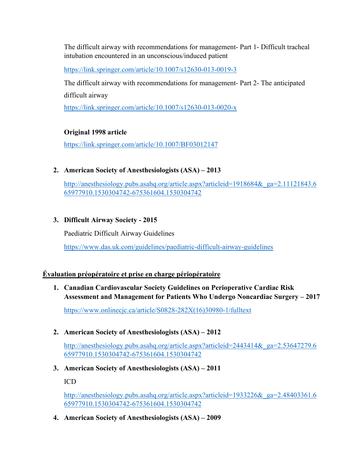The difficult airway with recommendations for management- Part 1- Difficult tracheal intubation encountered in an unconscious/induced patient

<https://link.springer.com/article/10.1007/s12630-013-0019-3>

The difficult airway with recommendations for management- Part 2- The anticipated difficult airway

<https://link.springer.com/article/10.1007/s12630-013-0020-x>

# **Original 1998 article**

<https://link.springer.com/article/10.1007/BF03012147>

## **2. American Society of Anesthesiologists (ASA) – 2013**

[http://anesthesiology.pubs.asahq.org/article.aspx?articleid=1918684&\\_ga=2.11121843.6](http://anesthesiology.pubs.asahq.org/article.aspx?articleid=1918684&_ga=2.11121843.665977910.1530304742-675361604.1530304742) [65977910.1530304742-675361604.1530304742](http://anesthesiology.pubs.asahq.org/article.aspx?articleid=1918684&_ga=2.11121843.665977910.1530304742-675361604.1530304742)

## **3. Difficult Airway Society - 2015**

Paediatric Difficult Airway Guidelines

<https://www.das.uk.com/guidelines/paediatric-difficult-airway-guidelines>

### **Évaluation préopératoire et prise en charge périopératoire**

**1. Canadian Cardiovascular Society Guidelines on Perioperative Cardiac Risk Assessment and Management for Patients Who Undergo Noncardiac Surgery – 2017**

[https://www.onlinecjc.ca/article/S0828-282X\(16\)30980-1/fulltext](https://www.onlinecjc.ca/article/S0828-282X(16)30980-1/fulltext)

**2. American Society of Anesthesiologists (ASA) – 2012**

[http://anesthesiology.pubs.asahq.org/article.aspx?articleid=2443414&\\_ga=2.53647279.6](http://anesthesiology.pubs.asahq.org/article.aspx?articleid=2443414&_ga=2.53647279.665977910.1530304742-675361604.1530304742) [65977910.1530304742-675361604.1530304742](http://anesthesiology.pubs.asahq.org/article.aspx?articleid=2443414&_ga=2.53647279.665977910.1530304742-675361604.1530304742)

**3. American Society of Anesthesiologists (ASA) – 2011**

ICD

[http://anesthesiology.pubs.asahq.org/article.aspx?articleid=1933226&\\_ga=2.48403361.6](http://anesthesiology.pubs.asahq.org/article.aspx?articleid=1933226&_ga=2.48403361.665977910.1530304742-675361604.1530304742) [65977910.1530304742-675361604.1530304742](http://anesthesiology.pubs.asahq.org/article.aspx?articleid=1933226&_ga=2.48403361.665977910.1530304742-675361604.1530304742)

**4. American Society of Anesthesiologists (ASA) – 2009**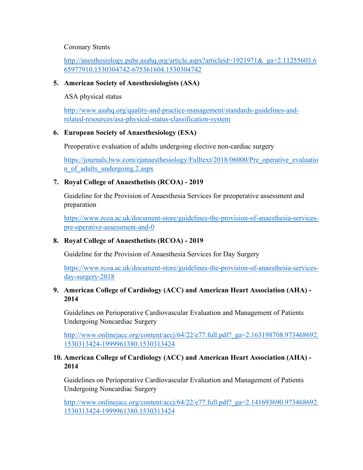#### Coronary Stents

## [http://anesthesiology.pubs.asahq.org/article.aspx?articleid=1921971&\\_ga=2.11255603.6](http://anesthesiology.pubs.asahq.org/article.aspx?articleid=1921971&_ga=2.11255603.665977910.1530304742-675361604.1530304742) [65977910.1530304742-675361604.1530304742](http://anesthesiology.pubs.asahq.org/article.aspx?articleid=1921971&_ga=2.11255603.665977910.1530304742-675361604.1530304742)

#### **5. American Society of Anesthesiologists (ASA)**

ASA physical status

[http://www.asahq.org/quality-and-practice-management/standards-guidelines-and](http://www.asahq.org/quality-and-practice-management/standards-guidelines-and-related-resources/asa-physical-status-classification-system)[related-resources/asa-physical-status-classification-system](http://www.asahq.org/quality-and-practice-management/standards-guidelines-and-related-resources/asa-physical-status-classification-system)

#### **6. European Society of Anaesthesiology (ESA)**

Preoperative evaluation of adults undergoing elective non-cardiac surgery

[https://journals.lww.com/ejanaesthesiology/Fulltext/2018/06000/Pre\\_operative\\_evaluatio](https://journals.lww.com/ejanaesthesiology/Fulltext/2018/06000/Pre_operative_evaluation_of_adults_undergoing.2.aspx) [n\\_of\\_adults\\_undergoing.2.aspx](https://journals.lww.com/ejanaesthesiology/Fulltext/2018/06000/Pre_operative_evaluation_of_adults_undergoing.2.aspx)

### **7. Royal College of Anaesthetists (RCOA) - 2019**

Guideline for the Provision of Anaesthesia Services for preoperative assessment and preparation

[https://www.rcoa.ac.uk/document-store/guidelines-the-provision-of-anaesthesia-services](https://www.rcoa.ac.uk/document-store/guidelines-the-provision-of-anaesthesia-services-pre-operative-assessment-and-0)[pre-operative-assessment-and-0](https://www.rcoa.ac.uk/document-store/guidelines-the-provision-of-anaesthesia-services-pre-operative-assessment-and-0)

### **8. Royal College of Anaesthetists (RCOA) - 2019**

Guideline for the Provision of Anaesthesia Services for Day Surgery

[https://www.rcoa.ac.uk/document-store/guidelines-the-provision-of-anaesthesia-services](https://www.rcoa.ac.uk/document-store/guidelines-the-provision-of-anaesthesia-services-day-surgery-2018)[day-surgery-2018](https://www.rcoa.ac.uk/document-store/guidelines-the-provision-of-anaesthesia-services-day-surgery-2018)

### **9. American College of Cardiology (ACC) and American Heart Association (AHA) - 2014**

Guidelines on Perioperative Cardiovascular Evaluation and Management of Patients Undergoing Noncardiac Surgery

http://www.onlinejacc.org/content/accj/64/22/e77.full.pdf? ga=2.163198708.973468692. [1530313424-1999961380.1530313424](http://www.onlinejacc.org/content/accj/64/22/e77.full.pdf?_ga=2.163198708.973468692.1530313424-1999961380.1530313424)

### **10. American College of Cardiology (ACC) and American Heart Association (AHA) - 2014**

Guidelines on Perioperative Cardiovascular Evaluation and Management of Patients Undergoing Noncardiac Surgery

http://www.onlinejacc.org/content/accj/64/22/e77.full.pdf? ga=2.141693690.973468692. [1530313424-1999961380.1530313424](http://www.onlinejacc.org/content/accj/64/22/e77.full.pdf?_ga=2.141693690.973468692.1530313424-1999961380.1530313424)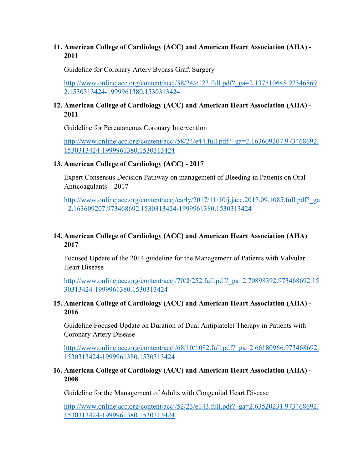### **11. American College of Cardiology (ACC) and American Heart Association (AHA) - 2011**

Guideline for Coronary Artery Bypass Graft Surgery

[http://www.onlinejacc.org/content/accj/58/24/e123.full.pdf?\\_ga=2.137510648.97346869](http://www.onlinejacc.org/content/accj/58/24/e123.full.pdf?_ga=2.137510648.973468692.1530313424-1999961380.1530313424) [2.1530313424-1999961380.1530313424](http://www.onlinejacc.org/content/accj/58/24/e123.full.pdf?_ga=2.137510648.973468692.1530313424-1999961380.1530313424)

### **12. American College of Cardiology (ACC) and American Heart Association (AHA) - 2011**

Guideline for Percutaneous Coronary Intervention

[http://www.onlinejacc.org/content/accj/58/24/e44.full.pdf?\\_ga=2.163609207.973468692.](http://www.onlinejacc.org/content/accj/58/24/e44.full.pdf?_ga=2.163609207.973468692.1530313424-1999961380.1530313424) [1530313424-1999961380.1530313424](http://www.onlinejacc.org/content/accj/58/24/e44.full.pdf?_ga=2.163609207.973468692.1530313424-1999961380.1530313424)

### **13. American College of Cardiology (ACC) - 2017**

Expert Consensus Decision Pathway on management of Bleeding in Patients on Oral Anticoagulants – 2017

http://www.onlinejacc.org/content/accj/early/2017/11/10/j.jacc.2017.09.1085.full.pdf? ga [=2.163609207.973468692.1530313424-1999961380.1530313424](http://www.onlinejacc.org/content/accj/early/2017/11/10/j.jacc.2017.09.1085.full.pdf?_ga=2.163609207.973468692.1530313424-1999961380.1530313424)

## **14. American College of Cardiology (ACC) and American Heart Association (AHA) 2017**

Focused Update of the 2014 guideline for the Management of Patients with Valvular Heart Disease

[http://www.onlinejacc.org/content/accj/70/2/252.full.pdf?\\_ga=2.70898392.973468692.15](http://www.onlinejacc.org/content/accj/70/2/252.full.pdf?_ga=2.70898392.973468692.1530313424-1999961380.1530313424) [30313424-1999961380.1530313424](http://www.onlinejacc.org/content/accj/70/2/252.full.pdf?_ga=2.70898392.973468692.1530313424-1999961380.1530313424)

## **15. American College of Cardiology (ACC) and American Heart Association (AHA) - 2016**

Guideline Focused Update on Duration of Dual Antiplatelet Therapy in Patients with Coronary Artery Disease

[http://www.onlinejacc.org/content/accj/68/10/1082.full.pdf?\\_ga=2.66180966.973468692.](http://www.onlinejacc.org/content/accj/68/10/1082.full.pdf?_ga=2.66180966.973468692.1530313424-1999961380.1530313424) [1530313424-1999961380.1530313424](http://www.onlinejacc.org/content/accj/68/10/1082.full.pdf?_ga=2.66180966.973468692.1530313424-1999961380.1530313424)

### **16. American College of Cardiology (ACC) and American Heart Association (AHA) - 2008**

Guideline for the Management of Adults with Congenital Heart Disease

[http://www.onlinejacc.org/content/accj/52/23/e143.full.pdf?\\_ga=2.63520231.973468692.](http://www.onlinejacc.org/content/accj/52/23/e143.full.pdf?_ga=2.63520231.973468692.1530313424-1999961380.1530313424) [1530313424-1999961380.1530313424](http://www.onlinejacc.org/content/accj/52/23/e143.full.pdf?_ga=2.63520231.973468692.1530313424-1999961380.1530313424)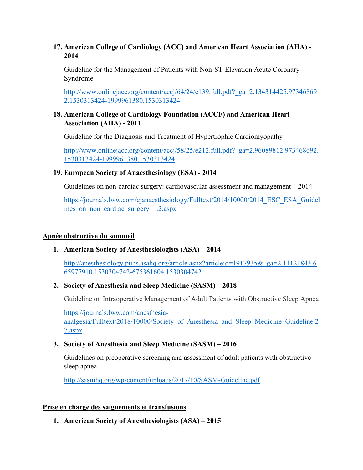### **17. American College of Cardiology (ACC) and American Heart Association (AHA) - 2014**

Guideline for the Management of Patients with Non-ST-Elevation Acute Coronary Syndrome

[http://www.onlinejacc.org/content/accj/64/24/e139.full.pdf?\\_ga=2.134314425.97346869](http://www.onlinejacc.org/content/accj/64/24/e139.full.pdf?_ga=2.134314425.973468692.1530313424-1999961380.1530313424) [2.1530313424-1999961380.1530313424](http://www.onlinejacc.org/content/accj/64/24/e139.full.pdf?_ga=2.134314425.973468692.1530313424-1999961380.1530313424)

## **18. American College of Cardiology Foundation (ACCF) and American Heart Association (AHA) - 2011**

Guideline for the Diagnosis and Treatment of Hypertrophic Cardiomyopathy

http://www.onlinejacc.org/content/accj/58/25/e212.full.pdf? ga=2.96089812.973468692. [1530313424-1999961380.1530313424](http://www.onlinejacc.org/content/accj/58/25/e212.full.pdf?_ga=2.96089812.973468692.1530313424-1999961380.1530313424)

# **19. European Society of Anaesthesiology (ESA) - 2014**

Guidelines on non-cardiac surgery: cardiovascular assessment and management – 2014

https://journals.lww.com/ejanaesthesiology/Fulltext/2014/10000/2014 ESC ESA Guidel ines on non cardiac surgery .2.aspx

# **Apnée obstructive du sommeil**

# **1. American Society of Anesthesiologists (ASA) – 2014**

[http://anesthesiology.pubs.asahq.org/article.aspx?articleid=1917935&\\_ga=2.11121843.6](http://anesthesiology.pubs.asahq.org/article.aspx?articleid=1917935&_ga=2.11121843.665977910.1530304742-675361604.1530304742) [65977910.1530304742-675361604.1530304742](http://anesthesiology.pubs.asahq.org/article.aspx?articleid=1917935&_ga=2.11121843.665977910.1530304742-675361604.1530304742)

# **2. Society of Anesthesia and Sleep Medicine (SASM) – 2018**

Guideline on Intraoperative Management of Adult Patients with Obstructive Sleep Apnea

[https://journals.lww.com/anesthesia](https://journals.lww.com/anesthesia-analgesia/Fulltext/2018/10000/Society_of_Anesthesia_and_Sleep_Medicine_Guideline.27.aspx)analgesia/Fulltext/2018/10000/Society of Anesthesia and Sleep Medicine Guideline.2 [7.aspx](https://journals.lww.com/anesthesia-analgesia/Fulltext/2018/10000/Society_of_Anesthesia_and_Sleep_Medicine_Guideline.27.aspx)

# **3. Society of Anesthesia and Sleep Medicine (SASM) – 2016**

Guidelines on preoperative screening and assessment of adult patients with obstructive sleep apnea

<http://sasmhq.org/wp-content/uploads/2017/10/SASM-Guideline.pdf>

### **Prise en charge des saignements et transfusions**

**1. American Society of Anesthesiologists (ASA) – 2015**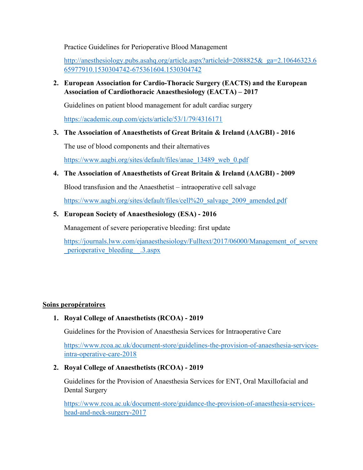Practice Guidelines for Perioperative Blood Management

[http://anesthesiology.pubs.asahq.org/article.aspx?articleid=2088825&\\_ga=2.10646323.6](http://anesthesiology.pubs.asahq.org/article.aspx?articleid=2088825&_ga=2.10646323.665977910.1530304742-675361604.1530304742) [65977910.1530304742-675361604.1530304742](http://anesthesiology.pubs.asahq.org/article.aspx?articleid=2088825&_ga=2.10646323.665977910.1530304742-675361604.1530304742)

**2. European Association for Cardio-Thoracic Surgery (EACTS) and the European Association of Cardiothoracic Anaesthesiology (EACTA) – 2017**

Guidelines on patient blood management for adult cardiac surgery

<https://academic.oup.com/ejcts/article/53/1/79/4316171>

**3. The Association of Anaesthetists of Great Britain & Ireland (AAGBI) - 2016**

The use of blood components and their alternatives

[https://www.aagbi.org/sites/default/files/anae\\_13489\\_web\\_0.pdf](https://www.aagbi.org/sites/default/files/anae_13489_web_0.pdf)

**4. The Association of Anaesthetists of Great Britain & Ireland (AAGBI) - 2009**

Blood transfusion and the Anaesthetist – intraoperative cell salvage

[https://www.aagbi.org/sites/default/files/cell%20\\_salvage\\_2009\\_amended.pdf](https://www.aagbi.org/sites/default/files/cell%20_salvage_2009_amended.pdf)

**5. European Society of Anaesthesiology (ESA) - 2016**

Management of severe perioperative bleeding: first update

[https://journals.lww.com/ejanaesthesiology/Fulltext/2017/06000/Management\\_of\\_severe](https://journals.lww.com/ejanaesthesiology/Fulltext/2017/06000/Management_of_severe_perioperative_bleeding__.3.aspx) [\\_perioperative\\_bleeding\\_\\_.3.aspx](https://journals.lww.com/ejanaesthesiology/Fulltext/2017/06000/Management_of_severe_perioperative_bleeding__.3.aspx)

### **Soins peropératoires**

### **1. Royal College of Anaesthetists (RCOA) - 2019**

Guidelines for the Provision of Anaesthesia Services for Intraoperative Care

[https://www.rcoa.ac.uk/document-store/guidelines-the-provision-of-anaesthesia-services](https://www.rcoa.ac.uk/document-store/guidelines-the-provision-of-anaesthesia-services-intra-operative-care-2018)[intra-operative-care-2018](https://www.rcoa.ac.uk/document-store/guidelines-the-provision-of-anaesthesia-services-intra-operative-care-2018)

### **2. Royal College of Anaesthetists (RCOA) - 2019**

Guidelines for the Provision of Anaesthesia Services for ENT, Oral Maxillofacial and Dental Surgery

[https://www.rcoa.ac.uk/document-store/guidance-the-provision-of-anaesthesia-services](https://www.rcoa.ac.uk/document-store/guidance-the-provision-of-anaesthesia-services-head-and-neck-surgery-2017)[head-and-neck-surgery-2017](https://www.rcoa.ac.uk/document-store/guidance-the-provision-of-anaesthesia-services-head-and-neck-surgery-2017)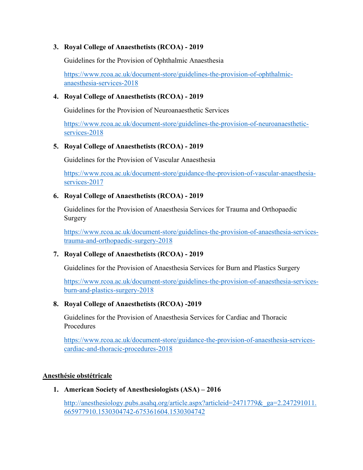### **3. Royal College of Anaesthetists (RCOA) - 2019**

Guidelines for the Provision of Ophthalmic Anaesthesia

[https://www.rcoa.ac.uk/document-store/guidelines-the-provision-of-ophthalmic](https://www.rcoa.ac.uk/document-store/guidelines-the-provision-of-ophthalmic-anaesthesia-services-2018)[anaesthesia-services-2018](https://www.rcoa.ac.uk/document-store/guidelines-the-provision-of-ophthalmic-anaesthesia-services-2018)

### **4. Royal College of Anaesthetists (RCOA) - 2019**

Guidelines for the Provision of Neuroanaesthetic Services

[https://www.rcoa.ac.uk/document-store/guidelines-the-provision-of-neuroanaesthetic](https://www.rcoa.ac.uk/document-store/guidelines-the-provision-of-neuroanaesthetic-services-2018)[services-2018](https://www.rcoa.ac.uk/document-store/guidelines-the-provision-of-neuroanaesthetic-services-2018)

### **5. Royal College of Anaesthetists (RCOA) - 2019**

Guidelines for the Provision of Vascular Anaesthesia

[https://www.rcoa.ac.uk/document-store/guidance-the-provision-of-vascular-anaesthesia](https://www.rcoa.ac.uk/document-store/guidance-the-provision-of-vascular-anaesthesia-services-2017)[services-2017](https://www.rcoa.ac.uk/document-store/guidance-the-provision-of-vascular-anaesthesia-services-2017)

### **6. Royal College of Anaesthetists (RCOA) - 2019**

Guidelines for the Provision of Anaesthesia Services for Trauma and Orthopaedic Surgery

[https://www.rcoa.ac.uk/document-store/guidelines-the-provision-of-anaesthesia-services](https://www.rcoa.ac.uk/document-store/guidelines-the-provision-of-anaesthesia-services-trauma-and-orthopaedic-surgery-2018)[trauma-and-orthopaedic-surgery-2018](https://www.rcoa.ac.uk/document-store/guidelines-the-provision-of-anaesthesia-services-trauma-and-orthopaedic-surgery-2018)

### **7. Royal College of Anaesthetists (RCOA) - 2019**

Guidelines for the Provision of Anaesthesia Services for Burn and Plastics Surgery

[https://www.rcoa.ac.uk/document-store/guidelines-the-provision-of-anaesthesia-services](https://www.rcoa.ac.uk/document-store/guidelines-the-provision-of-anaesthesia-services-burn-and-plastics-surgery-2018)[burn-and-plastics-surgery-2018](https://www.rcoa.ac.uk/document-store/guidelines-the-provision-of-anaesthesia-services-burn-and-plastics-surgery-2018)

### **8. Royal College of Anaesthetists (RCOA) -2019**

Guidelines for the Provision of Anaesthesia Services for Cardiac and Thoracic Procedures

[https://www.rcoa.ac.uk/document-store/guidance-the-provision-of-anaesthesia-services](https://www.rcoa.ac.uk/document-store/guidance-the-provision-of-anaesthesia-services-cardiac-and-thoracic-procedures-2018)[cardiac-and-thoracic-procedures-2018](https://www.rcoa.ac.uk/document-store/guidance-the-provision-of-anaesthesia-services-cardiac-and-thoracic-procedures-2018)

#### **Anesthésie obstétricale**

### **1. American Society of Anesthesiologists (ASA) – 2016**

http://anesthesiology.pubs.asahq.org/article.aspx?articleid=2471779& ga=2.247291011. [665977910.1530304742-675361604.1530304742](http://anesthesiology.pubs.asahq.org/article.aspx?articleid=2471779&_ga=2.247291011.665977910.1530304742-675361604.1530304742)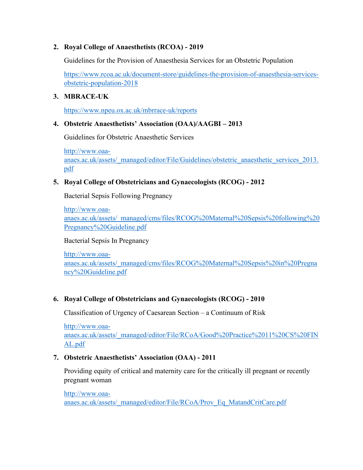## **2. Royal College of Anaesthetists (RCOA) - 2019**

Guidelines for the Provision of Anaesthesia Services for an Obstetric Population

[https://www.rcoa.ac.uk/document-store/guidelines-the-provision-of-anaesthesia-services](https://www.rcoa.ac.uk/document-store/guidelines-the-provision-of-anaesthesia-services-obstetric-population-2018)[obstetric-population-2018](https://www.rcoa.ac.uk/document-store/guidelines-the-provision-of-anaesthesia-services-obstetric-population-2018)

## **3. MBRACE-UK**

<https://www.npeu.ox.ac.uk/mbrrace-uk/reports>

### **4. Obstetric Anaesthetists' Association (OAA)/AAGBI – 2013**

Guidelines for Obstetric Anaesthetic Services

[http://www.oaa](http://www.oaa-anaes.ac.uk/assets/_managed/editor/File/Guidelines/obstetric_anaesthetic_services_2013.pdf)[anaes.ac.uk/assets/\\_managed/editor/File/Guidelines/obstetric\\_anaesthetic\\_services\\_2013.](http://www.oaa-anaes.ac.uk/assets/_managed/editor/File/Guidelines/obstetric_anaesthetic_services_2013.pdf) [pdf](http://www.oaa-anaes.ac.uk/assets/_managed/editor/File/Guidelines/obstetric_anaesthetic_services_2013.pdf)

### **5. Royal College of Obstetricians and Gynaecologists (RCOG) - 2012**

Bacterial Sepsis Following Pregnancy

[http://www.oaa](http://www.oaa-anaes.ac.uk/assets/_managed/cms/files/RCOG%20Maternal%20Sepsis%20following%20Pregnancy%20Guideline.pdf)[anaes.ac.uk/assets/\\_managed/cms/files/RCOG%20Maternal%20Sepsis%20following%20](http://www.oaa-anaes.ac.uk/assets/_managed/cms/files/RCOG%20Maternal%20Sepsis%20following%20Pregnancy%20Guideline.pdf) [Pregnancy%20Guideline.pdf](http://www.oaa-anaes.ac.uk/assets/_managed/cms/files/RCOG%20Maternal%20Sepsis%20following%20Pregnancy%20Guideline.pdf)

#### Bacterial Sepsis In Pregnancy

[http://www.oaa](http://www.oaa-anaes.ac.uk/assets/_managed/cms/files/RCOG%20Maternal%20Sepsis%20in%20Pregnancy%20Guideline.pdf)[anaes.ac.uk/assets/\\_managed/cms/files/RCOG%20Maternal%20Sepsis%20in%20Pregna](http://www.oaa-anaes.ac.uk/assets/_managed/cms/files/RCOG%20Maternal%20Sepsis%20in%20Pregnancy%20Guideline.pdf) [ncy%20Guideline.pdf](http://www.oaa-anaes.ac.uk/assets/_managed/cms/files/RCOG%20Maternal%20Sepsis%20in%20Pregnancy%20Guideline.pdf)

### **6. Royal College of Obstetricians and Gynaecologists (RCOG) - 2010**

Classification of Urgency of Caesarean Section – a Continuum of Risk

[http://www.oaa](http://www.oaa-anaes.ac.uk/assets/_managed/editor/File/RCoA/Good%20Practice%2011%20CS%20FINAL.pdf)[anaes.ac.uk/assets/\\_managed/editor/File/RCoA/Good%20Practice%2011%20CS%20FIN](http://www.oaa-anaes.ac.uk/assets/_managed/editor/File/RCoA/Good%20Practice%2011%20CS%20FINAL.pdf) [AL.pdf](http://www.oaa-anaes.ac.uk/assets/_managed/editor/File/RCoA/Good%20Practice%2011%20CS%20FINAL.pdf)

### **7. Obstetric Anaesthetists' Association (OAA) - 2011**

Providing equity of critical and maternity care for the critically ill pregnant or recently pregnant woman

[http://www.oaa](http://www.oaa-anaes.ac.uk/assets/_managed/editor/File/RCoA/Prov_Eq_MatandCritCare.pdf)[anaes.ac.uk/assets/\\_managed/editor/File/RCoA/Prov\\_Eq\\_MatandCritCare.pdf](http://www.oaa-anaes.ac.uk/assets/_managed/editor/File/RCoA/Prov_Eq_MatandCritCare.pdf)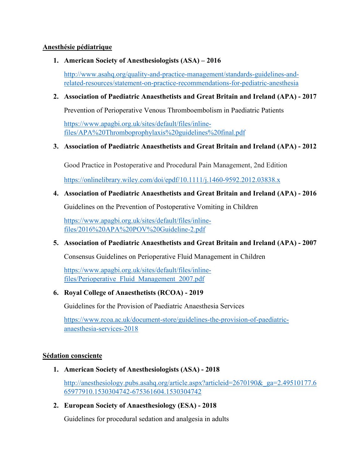#### **Anesthésie pédiatrique**

### **1. American Society of Anesthesiologists (ASA) – 2016**

[http://www.asahq.org/quality-and-practice-management/standards-guidelines-and](http://www.asahq.org/quality-and-practice-management/standards-guidelines-and-related-resources/statement-on-practice-recommendations-for-pediatric-anesthesia)[related-resources/statement-on-practice-recommendations-for-pediatric-anesthesia](http://www.asahq.org/quality-and-practice-management/standards-guidelines-and-related-resources/statement-on-practice-recommendations-for-pediatric-anesthesia)

### **2. Association of Paediatric Anaesthetists and Great Britain and Ireland (APA) - 2017**

Prevention of Perioperative Venous Thromboembolism in Paediatric Patients

[https://www.apagbi.org.uk/sites/default/files/inline](https://www.apagbi.org.uk/sites/default/files/inline-files/APA%20Thromboprophylaxis%20guidelines%20final.pdf)[files/APA%20Thromboprophylaxis%20guidelines%20final.pdf](https://www.apagbi.org.uk/sites/default/files/inline-files/APA%20Thromboprophylaxis%20guidelines%20final.pdf)

## **3. Association of Paediatric Anaesthetists and Great Britain and Ireland (APA) - 2012**

Good Practice in Postoperative and Procedural Pain Management, 2nd Edition

<https://onlinelibrary.wiley.com/doi/epdf/10.1111/j.1460-9592.2012.03838.x>

## **4. Association of Paediatric Anaesthetists and Great Britain and Ireland (APA) - 2016**

Guidelines on the Prevention of Postoperative Vomiting in Children

[https://www.apagbi.org.uk/sites/default/files/inline](https://www.apagbi.org.uk/sites/default/files/inline-files/2016%20APA%20POV%20Guideline-2.pdf)[files/2016%20APA%20POV%20Guideline-2.pdf](https://www.apagbi.org.uk/sites/default/files/inline-files/2016%20APA%20POV%20Guideline-2.pdf)

# **5. Association of Paediatric Anaesthetists and Great Britain and Ireland (APA) - 2007**

Consensus Guidelines on Perioperative Fluid Management in Children

[https://www.apagbi.org.uk/sites/default/files/inline](https://www.apagbi.org.uk/sites/default/files/inline-files/Perioperative_Fluid_Management_2007.pdf)[files/Perioperative\\_Fluid\\_Management\\_2007.pdf](https://www.apagbi.org.uk/sites/default/files/inline-files/Perioperative_Fluid_Management_2007.pdf)

### **6. Royal College of Anaesthetists (RCOA) - 2019**

Guidelines for the Provision of Paediatric Anaesthesia Services

[https://www.rcoa.ac.uk/document-store/guidelines-the-provision-of-paediatric](https://www.rcoa.ac.uk/document-store/guidelines-the-provision-of-paediatric-anaesthesia-services-2018)[anaesthesia-services-2018](https://www.rcoa.ac.uk/document-store/guidelines-the-provision-of-paediatric-anaesthesia-services-2018)

### **Sédation consciente**

**1. American Society of Anesthesiologists (ASA) - 2018**

[http://anesthesiology.pubs.asahq.org/article.aspx?articleid=2670190&\\_ga=2.49510177.6](http://anesthesiology.pubs.asahq.org/article.aspx?articleid=2670190&_ga=2.49510177.665977910.1530304742-675361604.1530304742) [65977910.1530304742-675361604.1530304742](http://anesthesiology.pubs.asahq.org/article.aspx?articleid=2670190&_ga=2.49510177.665977910.1530304742-675361604.1530304742)

**2. European Society of Anaesthesiology (ESA) - 2018**

Guidelines for procedural sedation and analgesia in adults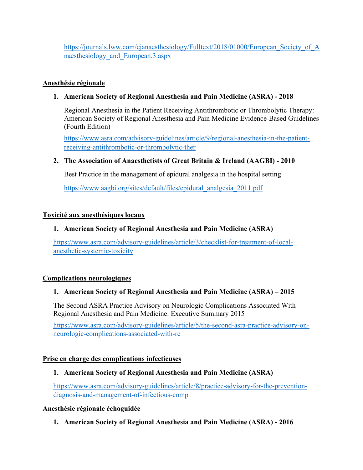https://journals.lww.com/ejanaesthesiology/Fulltext/2018/01000/European Society of A [naesthesiology\\_and\\_European.3.aspx](https://journals.lww.com/ejanaesthesiology/Fulltext/2018/01000/European_Society_of_Anaesthesiology_and_European.3.aspx)

## **Anesthésie régionale**

## **1. American Society of Regional Anesthesia and Pain Medicine (ASRA) - 2018**

Regional Anesthesia in the Patient Receiving Antithrombotic or Thrombolytic Therapy: American Society of Regional Anesthesia and Pain Medicine Evidence-Based Guidelines (Fourth Edition)

[https://www.asra.com/advisory-guidelines/article/9/regional-anesthesia-in-the-patient](https://www.asra.com/advisory-guidelines/article/9/regional-anesthesia-in-the-patient-receiving-antithrombotic-or-thrombolytic-ther)[receiving-antithrombotic-or-thrombolytic-ther](https://www.asra.com/advisory-guidelines/article/9/regional-anesthesia-in-the-patient-receiving-antithrombotic-or-thrombolytic-ther)

### **2. The Association of Anaesthetists of Great Britain & Ireland (AAGBI) - 2010**

Best Practice in the management of epidural analgesia in the hospital setting

[https://www.aagbi.org/sites/default/files/epidural\\_analgesia\\_2011.pdf](https://www.aagbi.org/sites/default/files/epidural_analgesia_2011.pdf)

### **Toxicité aux anesthésiques locaux**

### **1. American Society of Regional Anesthesia and Pain Medicine (ASRA)**

[https://www.asra.com/advisory-guidelines/article/3/checklist-for-treatment-of-local](https://www.asra.com/advisory-guidelines/article/3/checklist-for-treatment-of-local-anesthetic-systemic-toxicity)[anesthetic-systemic-toxicity](https://www.asra.com/advisory-guidelines/article/3/checklist-for-treatment-of-local-anesthetic-systemic-toxicity)

### **Complications neurologiques**

### **1. American Society of Regional Anesthesia and Pain Medicine (ASRA) – 2015**

The Second ASRA Practice Advisory on Neurologic Complications Associated With Regional Anesthesia and Pain Medicine: Executive Summary 2015

[https://www.asra.com/advisory-guidelines/article/5/the-second-asra-practice-advisory-on](https://www.asra.com/advisory-guidelines/article/5/the-second-asra-practice-advisory-on-neurologic-complications-associated-with-re)[neurologic-complications-associated-with-re](https://www.asra.com/advisory-guidelines/article/5/the-second-asra-practice-advisory-on-neurologic-complications-associated-with-re)

#### **Prise en charge des complications infectieuses**

### **1. American Society of Regional Anesthesia and Pain Medicine (ASRA)**

[https://www.asra.com/advisory-guidelines/article/8/practice-advisory-for-the-prevention](https://www.asra.com/advisory-guidelines/article/8/practice-advisory-for-the-prevention-diagnosis-and-management-of-infectious-comp)[diagnosis-and-management-of-infectious-comp](https://www.asra.com/advisory-guidelines/article/8/practice-advisory-for-the-prevention-diagnosis-and-management-of-infectious-comp)

### **Anesthésie régionale échoguidée**

**1. American Society of Regional Anesthesia and Pain Medicine (ASRA) - 2016**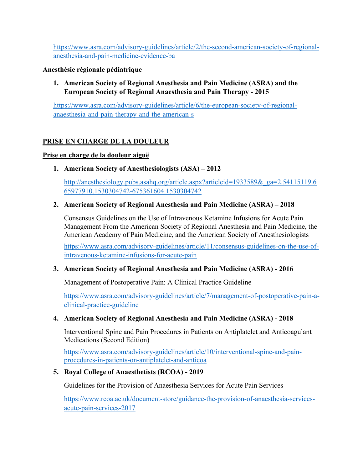[https://www.asra.com/advisory-guidelines/article/2/the-second-american-society-of-regional](https://www.asra.com/advisory-guidelines/article/2/the-second-american-society-of-regional-anesthesia-and-pain-medicine-evidence-ba)[anesthesia-and-pain-medicine-evidence-ba](https://www.asra.com/advisory-guidelines/article/2/the-second-american-society-of-regional-anesthesia-and-pain-medicine-evidence-ba)

#### **Anesthésie régionale pédiatrique**

**1. American Society of Regional Anesthesia and Pain Medicine (ASRA) and the European Society of Regional Anaesthesia and Pain Therapy - 2015**

[https://www.asra.com/advisory-guidelines/article/6/the-european-society-of-regional](https://www.asra.com/advisory-guidelines/article/6/the-european-society-of-regional-anaesthesia-and-pain-therapy-and-the-american-s)[anaesthesia-and-pain-therapy-and-the-american-s](https://www.asra.com/advisory-guidelines/article/6/the-european-society-of-regional-anaesthesia-and-pain-therapy-and-the-american-s)

## **PRISE EN CHARGE DE LA DOULEUR**

### **Prise en charge de la douleur aiguë**

**1. American Society of Anesthesiologists (ASA) – 2012**

[http://anesthesiology.pubs.asahq.org/article.aspx?articleid=1933589&\\_ga=2.54115119.6](http://anesthesiology.pubs.asahq.org/article.aspx?articleid=1933589&_ga=2.54115119.665977910.1530304742-675361604.1530304742) [65977910.1530304742-675361604.1530304742](http://anesthesiology.pubs.asahq.org/article.aspx?articleid=1933589&_ga=2.54115119.665977910.1530304742-675361604.1530304742)

### **2. American Society of Regional Anesthesia and Pain Medicine (ASRA) – 2018**

Consensus Guidelines on the Use of Intravenous Ketamine Infusions for Acute Pain Management From the American Society of Regional Anesthesia and Pain Medicine, the American Academy of Pain Medicine, and the American Society of Anesthesiologists

[https://www.asra.com/advisory-guidelines/article/11/consensus-guidelines-on-the-use-of](https://www.asra.com/advisory-guidelines/article/11/consensus-guidelines-on-the-use-of-intravenous-ketamine-infusions-for-acute-pain)[intravenous-ketamine-infusions-for-acute-pain](https://www.asra.com/advisory-guidelines/article/11/consensus-guidelines-on-the-use-of-intravenous-ketamine-infusions-for-acute-pain)

### **3. American Society of Regional Anesthesia and Pain Medicine (ASRA) - 2016**

Management of Postoperative Pain: A Clinical Practice Guideline

[https://www.asra.com/advisory-guidelines/article/7/management-of-postoperative-pain-a](https://www.asra.com/advisory-guidelines/article/7/management-of-postoperative-pain-a-clinical-practice-guideline)[clinical-practice-guideline](https://www.asra.com/advisory-guidelines/article/7/management-of-postoperative-pain-a-clinical-practice-guideline)

### **4. American Society of Regional Anesthesia and Pain Medicine (ASRA) - 2018**

Interventional Spine and Pain Procedures in Patients on Antiplatelet and Anticoagulant Medications (Second Edition)

[https://www.asra.com/advisory-guidelines/article/10/interventional-spine-and-pain](https://www.asra.com/advisory-guidelines/article/10/interventional-spine-and-pain-procedures-in-patients-on-antiplatelet-and-anticoa)[procedures-in-patients-on-antiplatelet-and-anticoa](https://www.asra.com/advisory-guidelines/article/10/interventional-spine-and-pain-procedures-in-patients-on-antiplatelet-and-anticoa)

### **5. Royal College of Anaesthetists (RCOA) - 2019**

Guidelines for the Provision of Anaesthesia Services for Acute Pain Services

[https://www.rcoa.ac.uk/document-store/guidance-the-provision-of-anaesthesia-services](https://www.rcoa.ac.uk/document-store/guidance-the-provision-of-anaesthesia-services-acute-pain-services-2017)[acute-pain-services-2017](https://www.rcoa.ac.uk/document-store/guidance-the-provision-of-anaesthesia-services-acute-pain-services-2017)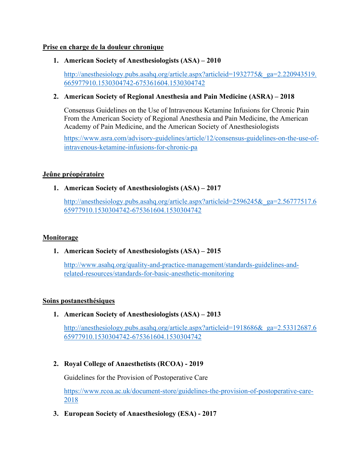#### **Prise en charge de la douleur chronique**

## **1. American Society of Anesthesiologists (ASA) – 2010**

[http://anesthesiology.pubs.asahq.org/article.aspx?articleid=1932775&\\_ga=2.220943519.](http://anesthesiology.pubs.asahq.org/article.aspx?articleid=1932775&_ga=2.220943519.665977910.1530304742-675361604.1530304742) [665977910.1530304742-675361604.1530304742](http://anesthesiology.pubs.asahq.org/article.aspx?articleid=1932775&_ga=2.220943519.665977910.1530304742-675361604.1530304742)

### **2. American Society of Regional Anesthesia and Pain Medicine (ASRA) – 2018**

Consensus Guidelines on the Use of Intravenous Ketamine Infusions for Chronic Pain From the American Society of Regional Anesthesia and Pain Medicine, the American Academy of Pain Medicine, and the American Society of Anesthesiologists

[https://www.asra.com/advisory-guidelines/article/12/consensus-guidelines-on-the-use-of](https://www.asra.com/advisory-guidelines/article/12/consensus-guidelines-on-the-use-of-intravenous-ketamine-infusions-for-chronic-pa)[intravenous-ketamine-infusions-for-chronic-pa](https://www.asra.com/advisory-guidelines/article/12/consensus-guidelines-on-the-use-of-intravenous-ketamine-infusions-for-chronic-pa)

### **Jeûne préopératoire**

# **1. American Society of Anesthesiologists (ASA) – 2017**

[http://anesthesiology.pubs.asahq.org/article.aspx?articleid=2596245&\\_ga=2.56777517.6](http://anesthesiology.pubs.asahq.org/article.aspx?articleid=2596245&_ga=2.56777517.665977910.1530304742-675361604.1530304742) [65977910.1530304742-675361604.1530304742](http://anesthesiology.pubs.asahq.org/article.aspx?articleid=2596245&_ga=2.56777517.665977910.1530304742-675361604.1530304742)

### **Monitorage**

# **1. American Society of Anesthesiologists (ASA) – 2015**

[http://www.asahq.org/quality-and-practice-management/standards-guidelines-and](http://www.asahq.org/quality-and-practice-management/standards-guidelines-and-related-resources/standards-for-basic-anesthetic-monitoring)[related-resources/standards-for-basic-anesthetic-monitoring](http://www.asahq.org/quality-and-practice-management/standards-guidelines-and-related-resources/standards-for-basic-anesthetic-monitoring)

### **Soins postanesthésiques**

**1. American Society of Anesthesiologists (ASA) – 2013**

[http://anesthesiology.pubs.asahq.org/article.aspx?articleid=1918686&\\_ga=2.53312687.6](http://anesthesiology.pubs.asahq.org/article.aspx?articleid=1918686&_ga=2.53312687.665977910.1530304742-675361604.1530304742) [65977910.1530304742-675361604.1530304742](http://anesthesiology.pubs.asahq.org/article.aspx?articleid=1918686&_ga=2.53312687.665977910.1530304742-675361604.1530304742)

# **2. Royal College of Anaesthetists (RCOA) - 2019**

Guidelines for the Provision of Postoperative Care

[https://www.rcoa.ac.uk/document-store/guidelines-the-provision-of-postoperative-care-](https://www.rcoa.ac.uk/document-store/guidelines-the-provision-of-postoperative-care-2018)[2018](https://www.rcoa.ac.uk/document-store/guidelines-the-provision-of-postoperative-care-2018)

**3. European Society of Anaesthesiology (ESA) - 2017**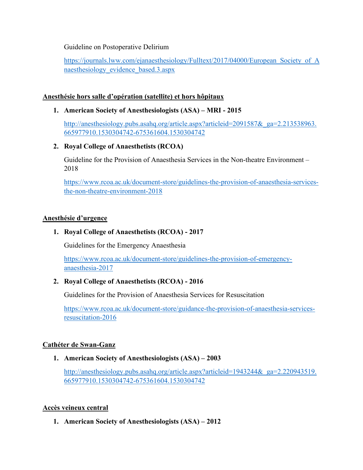Guideline on Postoperative Delirium

https://journals.lww.com/ejanaesthesiology/Fulltext/2017/04000/European Society of A [naesthesiology\\_evidence\\_based.3.aspx](https://journals.lww.com/ejanaesthesiology/Fulltext/2017/04000/European_Society_of_Anaesthesiology_evidence_based.3.aspx)

#### **Anesthésie hors salle d'opération (satellite) et hors hôpitaux**

**1. American Society of Anesthesiologists (ASA) – MRI - 2015**

http://anesthesiology.pubs.asahq.org/article.aspx?articleid=2091587& ga=2.213538963. [665977910.1530304742-675361604.1530304742](http://anesthesiology.pubs.asahq.org/article.aspx?articleid=2091587&_ga=2.213538963.665977910.1530304742-675361604.1530304742)

### **2. Royal College of Anaesthetists (RCOA)**

Guideline for the Provision of Anaesthesia Services in the Non-theatre Environment – 2018

[https://www.rcoa.ac.uk/document-store/guidelines-the-provision-of-anaesthesia-services](https://www.rcoa.ac.uk/document-store/guidelines-the-provision-of-anaesthesia-services-the-non-theatre-environment-2018)[the-non-theatre-environment-2018](https://www.rcoa.ac.uk/document-store/guidelines-the-provision-of-anaesthesia-services-the-non-theatre-environment-2018)

#### **Anesthésie d'urgence**

### **1. Royal College of Anaesthetists (RCOA) - 2017**

Guidelines for the Emergency Anaesthesia

[https://www.rcoa.ac.uk/document-store/guidelines-the-provision-of-emergency](https://www.rcoa.ac.uk/document-store/guidelines-the-provision-of-emergency-anaesthesia-2017)[anaesthesia-2017](https://www.rcoa.ac.uk/document-store/guidelines-the-provision-of-emergency-anaesthesia-2017)

### **2. Royal College of Anaesthetists (RCOA) - 2016**

Guidelines for the Provision of Anaesthesia Services for Resuscitation

[https://www.rcoa.ac.uk/document-store/guidance-the-provision-of-anaesthesia-services](https://www.rcoa.ac.uk/document-store/guidance-the-provision-of-anaesthesia-services-resuscitation-2016)[resuscitation-2016](https://www.rcoa.ac.uk/document-store/guidance-the-provision-of-anaesthesia-services-resuscitation-2016)

### **Cathéter de Swan-Ganz**

#### **1. American Society of Anesthesiologists (ASA) – 2003**

http://anesthesiology.pubs.asahq.org/article.aspx?articleid=1943244& ga=2.220943519. [665977910.1530304742-675361604.1530304742](http://anesthesiology.pubs.asahq.org/article.aspx?articleid=1943244&_ga=2.220943519.665977910.1530304742-675361604.1530304742)

### **Accès veineux central**

**1. American Society of Anesthesiologists (ASA) – 2012**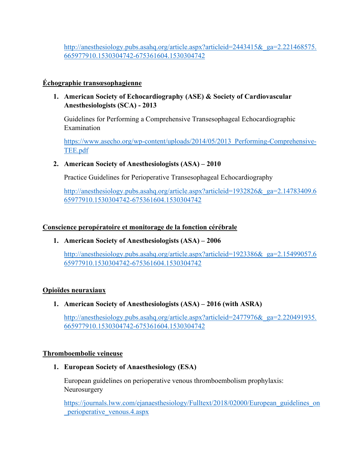http://anesthesiology.pubs.asahq.org/article.aspx?articleid=2443415& ga=2.221468575. [665977910.1530304742-675361604.1530304742](http://anesthesiology.pubs.asahq.org/article.aspx?articleid=2443415&_ga=2.221468575.665977910.1530304742-675361604.1530304742)

# **Échographie transœsophagienne**

**1. American Society of Echocardiography (ASE) & Society of Cardiovascular Anesthesiologists (SCA) - 2013**

Guidelines for Performing a Comprehensive Transesophageal Echocardiographic Examination

https://www.asecho.org/wp-content/uploads/2014/05/2013 Performing-Comprehensive-[TEE.pdf](https://www.asecho.org/wp-content/uploads/2014/05/2013_Performing-Comprehensive-TEE.pdf)

## **2. American Society of Anesthesiologists (ASA) – 2010**

Practice Guidelines for Perioperative Transesophageal Echocardiography

[http://anesthesiology.pubs.asahq.org/article.aspx?articleid=1932826&\\_ga=2.14783409.6](http://anesthesiology.pubs.asahq.org/article.aspx?articleid=1932826&_ga=2.14783409.665977910.1530304742-675361604.1530304742) [65977910.1530304742-675361604.1530304742](http://anesthesiology.pubs.asahq.org/article.aspx?articleid=1932826&_ga=2.14783409.665977910.1530304742-675361604.1530304742)

## **Conscience peropératoire et monitorage de la fonction cérébrale**

**1. American Society of Anesthesiologists (ASA) – 2006**

[http://anesthesiology.pubs.asahq.org/article.aspx?articleid=1923386&\\_ga=2.15499057.6](http://anesthesiology.pubs.asahq.org/article.aspx?articleid=1923386&_ga=2.15499057.665977910.1530304742-675361604.1530304742) [65977910.1530304742-675361604.1530304742](http://anesthesiology.pubs.asahq.org/article.aspx?articleid=1923386&_ga=2.15499057.665977910.1530304742-675361604.1530304742)

### **Opioïdes neuraxiaux**

# **1. American Society of Anesthesiologists (ASA) – 2016 (with ASRA)**

http://anesthesiology.pubs.asahq.org/article.aspx?articleid=2477976& ga=2.220491935. [665977910.1530304742-675361604.1530304742](http://anesthesiology.pubs.asahq.org/article.aspx?articleid=2477976&_ga=2.220491935.665977910.1530304742-675361604.1530304742)

### **Thromboembolie veineuse**

### **1. European Society of Anaesthesiology (ESA)**

European guidelines on perioperative venous thromboembolism prophylaxis: Neurosurgery

[https://journals.lww.com/ejanaesthesiology/Fulltext/2018/02000/European\\_guidelines\\_on](https://journals.lww.com/ejanaesthesiology/Fulltext/2018/02000/European_guidelines_on_perioperative_venous.4.aspx) [\\_perioperative\\_venous.4.aspx](https://journals.lww.com/ejanaesthesiology/Fulltext/2018/02000/European_guidelines_on_perioperative_venous.4.aspx)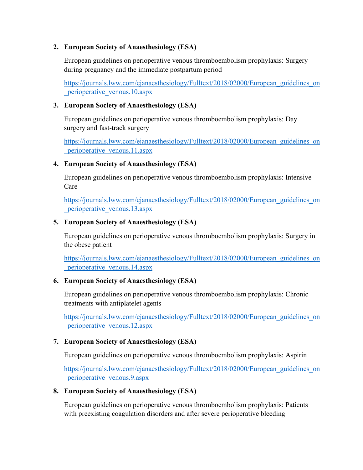#### **2. European Society of Anaesthesiology (ESA)**

European guidelines on perioperative venous thromboembolism prophylaxis: Surgery during pregnancy and the immediate postpartum period

[https://journals.lww.com/ejanaesthesiology/Fulltext/2018/02000/European\\_guidelines\\_on](https://journals.lww.com/ejanaesthesiology/Fulltext/2018/02000/European_guidelines_on_perioperative_venous.10.aspx) [\\_perioperative\\_venous.10.aspx](https://journals.lww.com/ejanaesthesiology/Fulltext/2018/02000/European_guidelines_on_perioperative_venous.10.aspx)

#### **3. European Society of Anaesthesiology (ESA)**

European guidelines on perioperative venous thromboembolism prophylaxis: Day surgery and fast-track surgery

[https://journals.lww.com/ejanaesthesiology/Fulltext/2018/02000/European\\_guidelines\\_on](https://journals.lww.com/ejanaesthesiology/Fulltext/2018/02000/European_guidelines_on_perioperative_venous.11.aspx) [\\_perioperative\\_venous.11.aspx](https://journals.lww.com/ejanaesthesiology/Fulltext/2018/02000/European_guidelines_on_perioperative_venous.11.aspx)

### **4. European Society of Anaesthesiology (ESA)**

European guidelines on perioperative venous thromboembolism prophylaxis: Intensive Care

[https://journals.lww.com/ejanaesthesiology/Fulltext/2018/02000/European\\_guidelines\\_on](https://journals.lww.com/ejanaesthesiology/Fulltext/2018/02000/European_guidelines_on_perioperative_venous.13.aspx) [\\_perioperative\\_venous.13.aspx](https://journals.lww.com/ejanaesthesiology/Fulltext/2018/02000/European_guidelines_on_perioperative_venous.13.aspx)

#### **5. European Society of Anaesthesiology (ESA)**

European guidelines on perioperative venous thromboembolism prophylaxis: Surgery in the obese patient

[https://journals.lww.com/ejanaesthesiology/Fulltext/2018/02000/European\\_guidelines\\_on](https://journals.lww.com/ejanaesthesiology/Fulltext/2018/02000/European_guidelines_on_perioperative_venous.14.aspx) [\\_perioperative\\_venous.14.aspx](https://journals.lww.com/ejanaesthesiology/Fulltext/2018/02000/European_guidelines_on_perioperative_venous.14.aspx)

### **6. European Society of Anaesthesiology (ESA)**

European guidelines on perioperative venous thromboembolism prophylaxis: Chronic treatments with antiplatelet agents

[https://journals.lww.com/ejanaesthesiology/Fulltext/2018/02000/European\\_guidelines\\_on](https://journals.lww.com/ejanaesthesiology/Fulltext/2018/02000/European_guidelines_on_perioperative_venous.12.aspx) [\\_perioperative\\_venous.12.aspx](https://journals.lww.com/ejanaesthesiology/Fulltext/2018/02000/European_guidelines_on_perioperative_venous.12.aspx)

### **7. European Society of Anaesthesiology (ESA)**

European guidelines on perioperative venous thromboembolism prophylaxis: Aspirin

[https://journals.lww.com/ejanaesthesiology/Fulltext/2018/02000/European\\_guidelines\\_on](https://journals.lww.com/ejanaesthesiology/Fulltext/2018/02000/European_guidelines_on_perioperative_venous.9.aspx) [\\_perioperative\\_venous.9.aspx](https://journals.lww.com/ejanaesthesiology/Fulltext/2018/02000/European_guidelines_on_perioperative_venous.9.aspx)

### **8. European Society of Anaesthesiology (ESA)**

European guidelines on perioperative venous thromboembolism prophylaxis: Patients with preexisting coagulation disorders and after severe perioperative bleeding